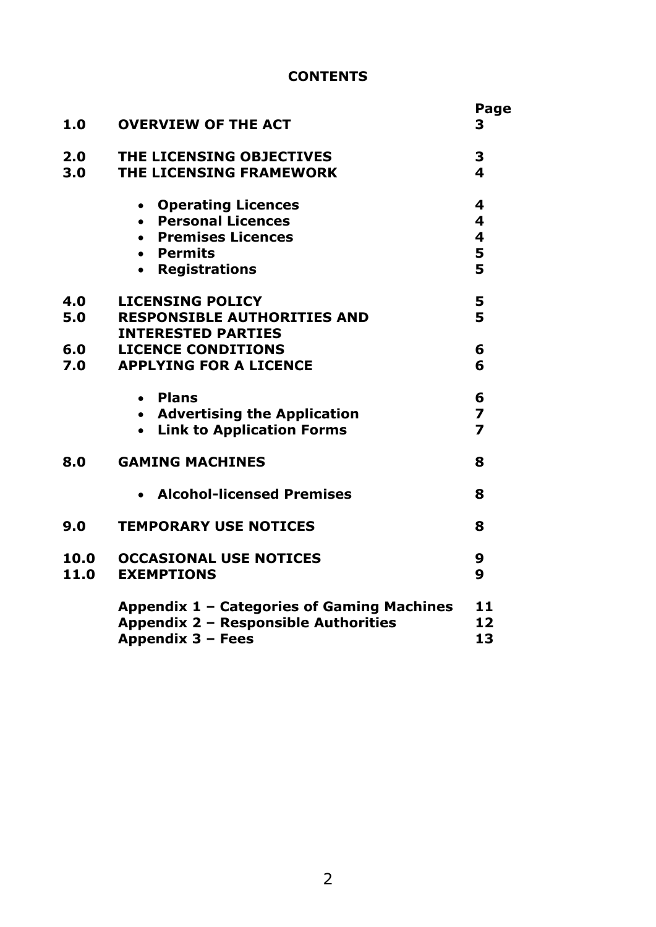## **CONTENTS**

|      |                                            | Page                    |  |  |  |
|------|--------------------------------------------|-------------------------|--|--|--|
| 1.0  | <b>OVERVIEW OF THE ACT</b>                 | 3                       |  |  |  |
| 2.0  | THE LICENSING OBJECTIVES                   | 3                       |  |  |  |
| 3.0  | THE LICENSING FRAMEWORK                    | $\overline{\mathbf{4}}$ |  |  |  |
|      | • Operating Licences                       | 4                       |  |  |  |
|      | • Personal Licences                        | $\overline{\mathbf{4}}$ |  |  |  |
|      | • Premises Licences                        | $\overline{\mathbf{4}}$ |  |  |  |
|      | • Permits                                  | 5                       |  |  |  |
|      | • Registrations                            | 5                       |  |  |  |
| 4.0  | <b>LICENSING POLICY</b>                    | 5                       |  |  |  |
| 5.0  | <b>RESPONSIBLE AUTHORITIES AND</b>         | 5                       |  |  |  |
|      | <b>INTERESTED PARTIES</b>                  |                         |  |  |  |
| 6.0  | <b>LICENCE CONDITIONS</b>                  | 6                       |  |  |  |
| 7.0  | <b>APPLYING FOR A LICENCE</b>              | 6                       |  |  |  |
|      | • Plans                                    | 6                       |  |  |  |
|      | • Advertising the Application              | $\overline{z}$          |  |  |  |
|      | • Link to Application Forms                | $\overline{\mathbf{z}}$ |  |  |  |
| 8.0  | <b>GAMING MACHINES</b>                     | 8                       |  |  |  |
|      | • Alcohol-licensed Premises                | 8                       |  |  |  |
| 9.0  | <b>TEMPORARY USE NOTICES</b>               | 8                       |  |  |  |
| 10.0 | <b>OCCASIONAL USE NOTICES</b>              | 9<br>9                  |  |  |  |
| 11.0 | <b>EXEMPTIONS</b>                          |                         |  |  |  |
|      | Appendix 1 - Categories of Gaming Machines |                         |  |  |  |
|      | Appendix 2 - Responsible Authorities       | 12                      |  |  |  |
|      | Appendix 3 - Fees                          | 13                      |  |  |  |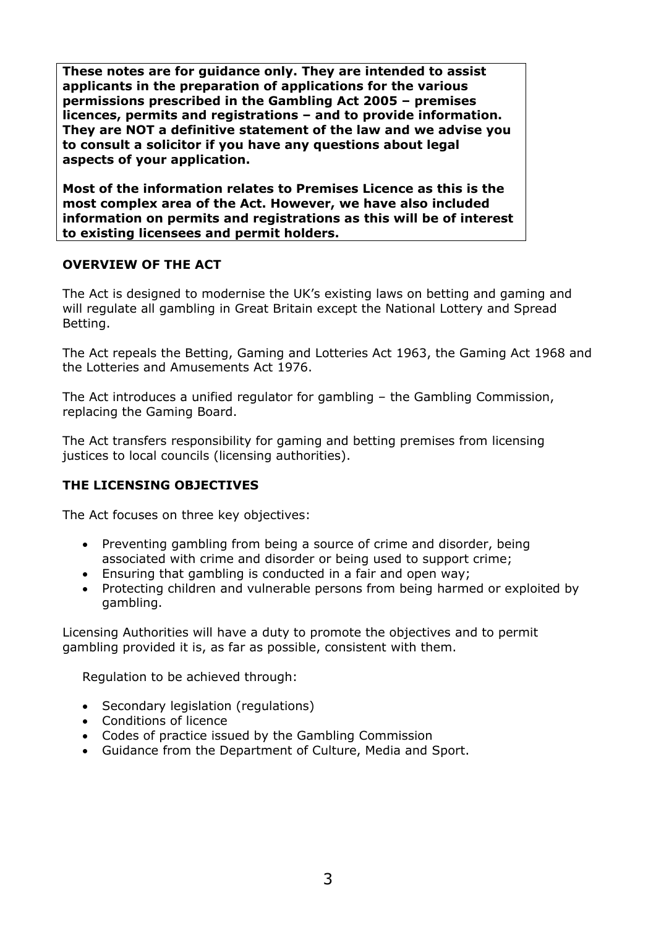**These notes are for guidance only. They are intended to assist applicants in the preparation of applications for the various permissions prescribed in the Gambling Act 2005 – premises licences, permits and registrations – and to provide information. They are NOT a definitive statement of the law and we advise you to consult a solicitor if you have any questions about legal aspects of your application.**

**Most of the information relates to Premises Licence as this is the most complex area of the Act. However, we have also included information on permits and registrations as this will be of interest to existing licensees and permit holders.**

#### **OVERVIEW OF THE ACT**

The Act is designed to modernise the UK's existing laws on betting and gaming and will regulate all gambling in Great Britain except the National Lottery and Spread Betting.

The Act repeals the Betting, Gaming and Lotteries Act 1963, the Gaming Act 1968 and the Lotteries and Amusements Act 1976.

The Act introduces a unified regulator for gambling – the Gambling Commission, replacing the Gaming Board.

The Act transfers responsibility for gaming and betting premises from licensing justices to local councils (licensing authorities).

## **THE LICENSING OBJECTIVES**

The Act focuses on three key objectives:

- Preventing gambling from being a source of crime and disorder, being associated with crime and disorder or being used to support crime;
- Ensuring that gambling is conducted in a fair and open way;
- Protecting children and vulnerable persons from being harmed or exploited by gambling.

Licensing Authorities will have a duty to promote the objectives and to permit gambling provided it is, as far as possible, consistent with them.

Regulation to be achieved through:

- Secondary legislation (regulations)
- Conditions of licence
- Codes of practice issued by the Gambling Commission
- Guidance from the Department of Culture, Media and Sport.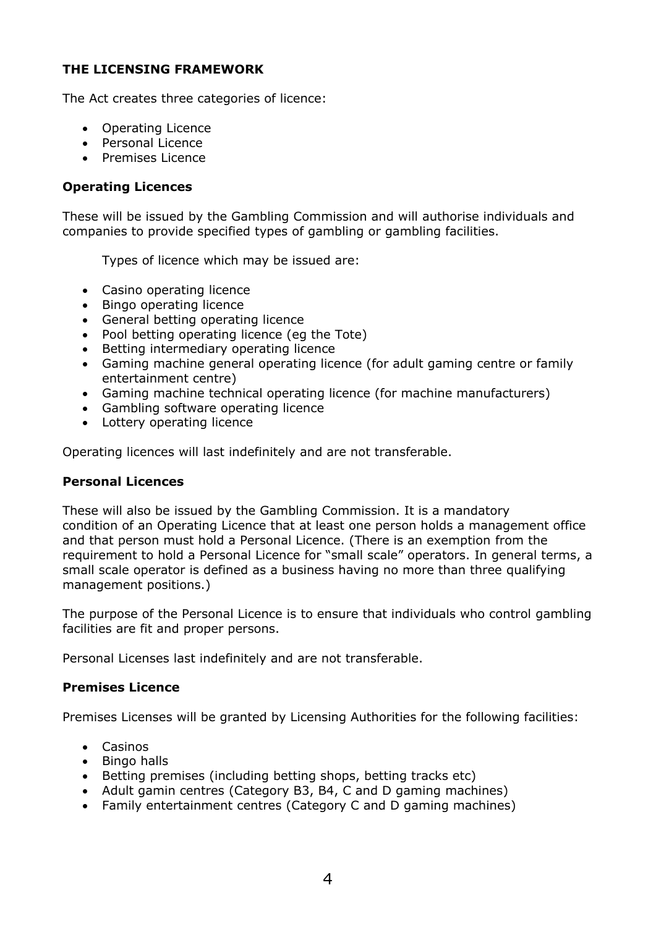## **THE LICENSING FRAMEWORK**

The Act creates three categories of licence:

- Operating Licence
- Personal Licence
- Premises Licence

## **Operating Licences**

These will be issued by the Gambling Commission and will authorise individuals and companies to provide specified types of gambling or gambling facilities.

Types of licence which may be issued are:

- Casino operating licence
- Bingo operating licence
- General betting operating licence
- Pool betting operating licence (eg the Tote)
- Betting intermediary operating licence
- Gaming machine general operating licence (for adult gaming centre or family entertainment centre)
- Gaming machine technical operating licence (for machine manufacturers)
- Gambling software operating licence
- Lottery operating licence

Operating licences will last indefinitely and are not transferable.

#### **Personal Licences**

These will also be issued by the Gambling Commission. It is a mandatory condition of an Operating Licence that at least one person holds a management office and that person must hold a Personal Licence. (There is an exemption from the requirement to hold a Personal Licence for "small scale" operators. In general terms, a small scale operator is defined as a business having no more than three qualifying management positions.)

The purpose of the Personal Licence is to ensure that individuals who control gambling facilities are fit and proper persons.

Personal Licenses last indefinitely and are not transferable.

#### **Premises Licence**

Premises Licenses will be granted by Licensing Authorities for the following facilities:

- Casinos
- Bingo halls
- Betting premises (including betting shops, betting tracks etc)
- Adult gamin centres (Category B3, B4, C and D gaming machines)
- Family entertainment centres (Category C and D gaming machines)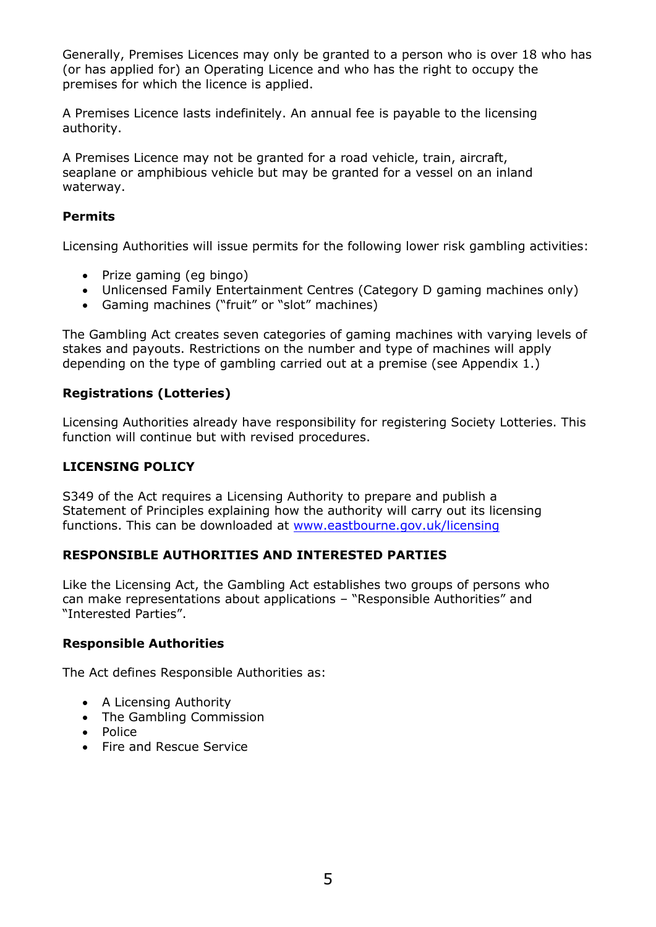

 $\ddot{?}$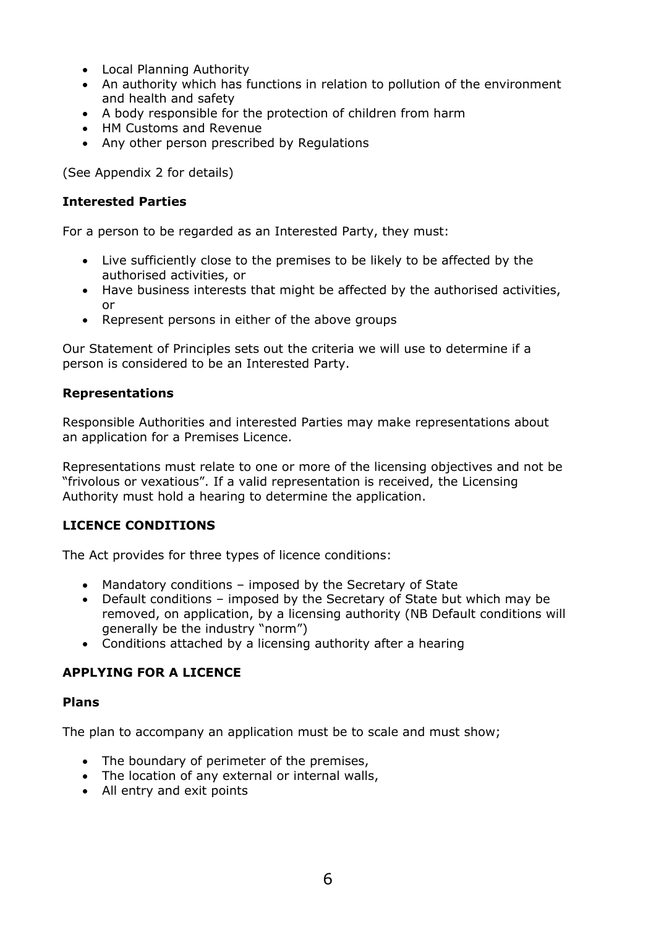- Local Planning Authority
- An authority which has functions in relation to pollution of the environment and health and safety
- A body responsible for the protection of children from harm
- HM Customs and Revenue
- Any other person prescribed by Regulations

(See Appendix 2 for details)

#### **Interested Parties**

For a person to be regarded as an Interested Party, they must:

- Live sufficiently close to the premises to be likely to be affected by the authorised activities, or
- Have business interests that might be affected by the authorised activities, or
- Represent persons in either of the above groups

Our Statement of Principles sets out the criteria we will use to determine if a person is considered to be an Interested Party.

#### **Representations**

Responsible Authorities and interested Parties may make representations about an application for a Premises Licence.

Representations must relate to one or more of the licensing objectives and not be "frivolous or vexatious". If a valid representation is received, the Licensing Authority must hold a hearing to determine the application.

#### **LICENCE CONDITIONS**

The Act provides for three types of licence conditions:

- Mandatory conditions imposed by the Secretary of State
- Default conditions imposed by the Secretary of State but which may be removed, on application, by a licensing authority (NB Default conditions will generally be the industry "norm")
- Conditions attached by a licensing authority after a hearing

## **APPLYING FOR A LICENCE**

#### **Plans**

The plan to accompany an application must be to scale and must show;

- The boundary of perimeter of the premises,
- The location of any external or internal walls,
- All entry and exit points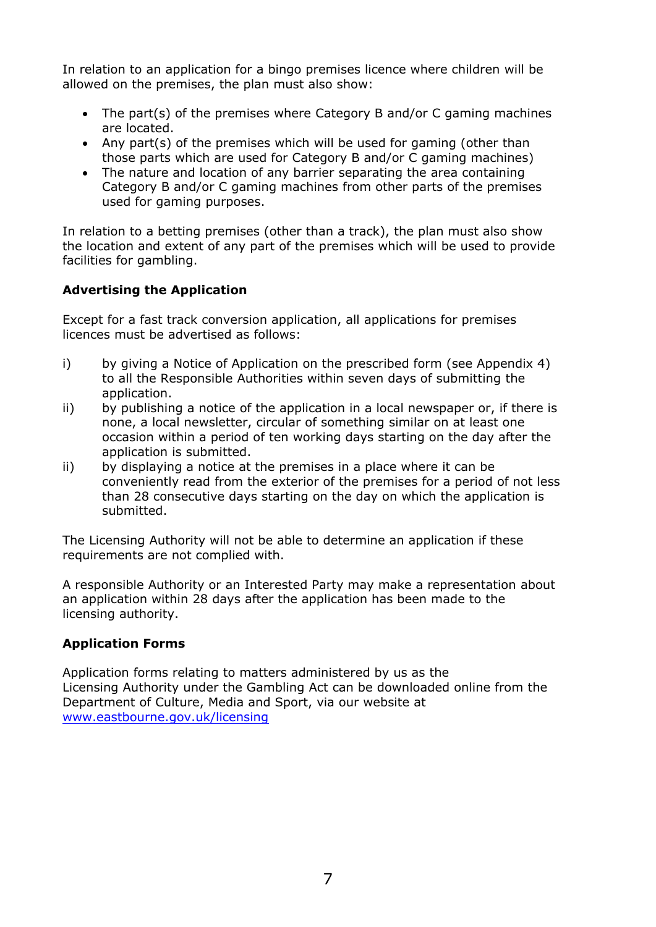

 $\overline{(\ }$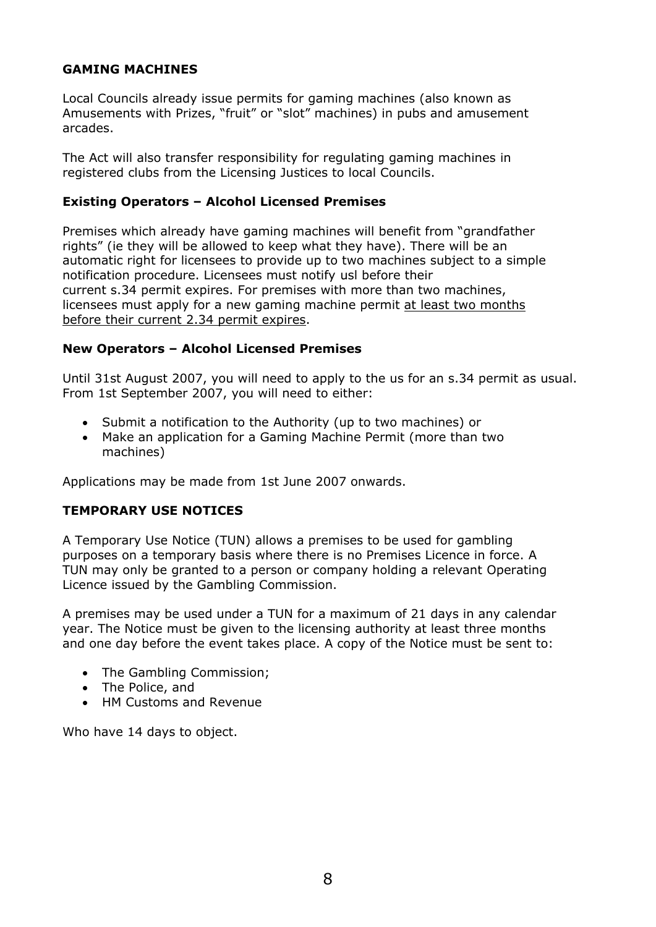## **GAMING MACHINES**

Local Councils already issue permits for gaming machines (also known as Amusements with Prizes, "fruit" or "slot" machines) in pubs and amusement arcades.

The Act will also transfer responsibility for regulating gaming machines in registered clubs from the Licensing Justices to local Councils.

#### **Existing Operators – Alcohol Licensed Premises**

Premises which already have gaming machines will benefit from "grandfather rights" (ie they will be allowed to keep what they have). There will be an automatic right for licensees to provide up to two machines subject to a simple notification procedure. Licensees must notify usl before their current s.34 permit expires. For premises with more than two machines, licensees must apply for a new gaming machine permit at least two months before their current 2.34 permit expires.

## **New Operators – Alcohol Licensed Premises**

Until 31st August 2007, you will need to apply to the us for an s.34 permit as usual. From 1st September 2007, you will need to either:

- Submit a notification to the Authority (up to two machines) or
- Make an application for a Gaming Machine Permit (more than two machines)

Applications may be made from 1st June 2007 onwards.

## **TEMPORARY USE NOTICES**

A Temporary Use Notice (TUN) allows a premises to be used for gambling purposes on a temporary basis where there is no Premises Licence in force. A TUN may only be granted to a person or company holding a relevant Operating Licence issued by the Gambling Commission.

A premises may be used under a TUN for a maximum of 21 days in any calendar year. The Notice must be given to the licensing authority at least three months and one day before the event takes place. A copy of the Notice must be sent to:

- The Gambling Commission:
- The Police, and
- HM Customs and Revenue

Who have 14 days to object.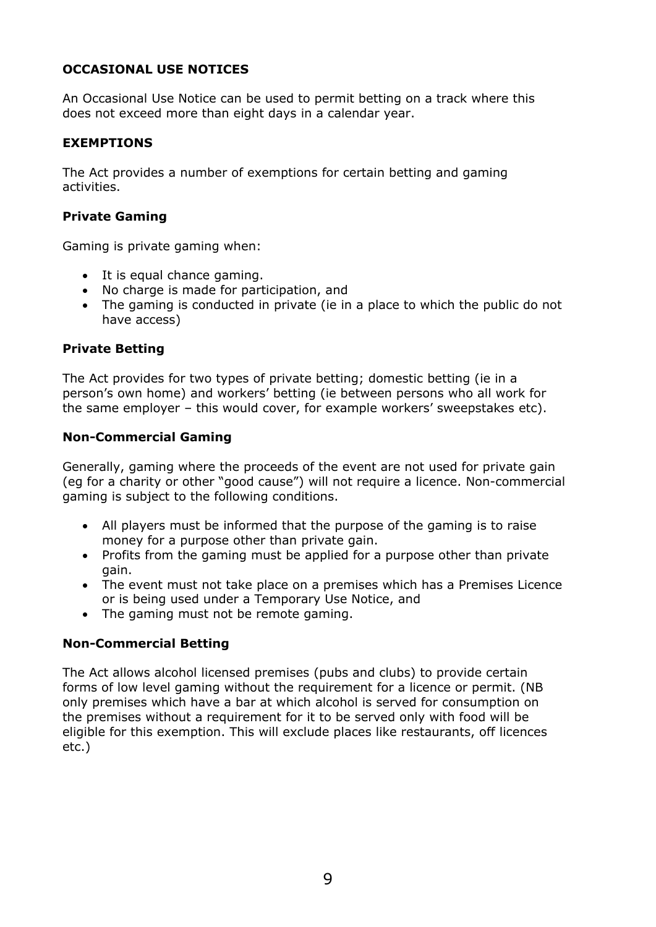## **OCCASIONAL USE NOTICES**

An Occasional Use Notice can be used to permit betting on a track where this does not exceed more than eight days in a calendar year.

#### **EXEMPTIONS**

The Act provides a number of exemptions for certain betting and gaming activities.

#### **Private Gaming**

Gaming is private gaming when:

- It is equal chance gaming.
- No charge is made for participation, and
- The gaming is conducted in private (ie in a place to which the public do not have access)

#### **Private Betting**

The Act provides for two types of private betting; domestic betting (ie in a person's own home) and workers' betting (ie between persons who all work for the same employer – this would cover, for example workers' sweepstakes etc).

#### **Non-Commercial Gaming**

Generally, gaming where the proceeds of the event are not used for private gain (eg for a charity or other "good cause") will not require a licence. Non-commercial gaming is subject to the following conditions.

- All players must be informed that the purpose of the gaming is to raise money for a purpose other than private gain.
- Profits from the gaming must be applied for a purpose other than private gain.
- The event must not take place on a premises which has a Premises Licence or is being used under a Temporary Use Notice, and
- The gaming must not be remote gaming.

#### **Non-Commercial Betting**

The Act allows alcohol licensed premises (pubs and clubs) to provide certain forms of low level gaming without the requirement for a licence or permit. (NB only premises which have a bar at which alcohol is served for consumption on the premises without a requirement for it to be served only with food will be eligible for this exemption. This will exclude places like restaurants, off licences etc.)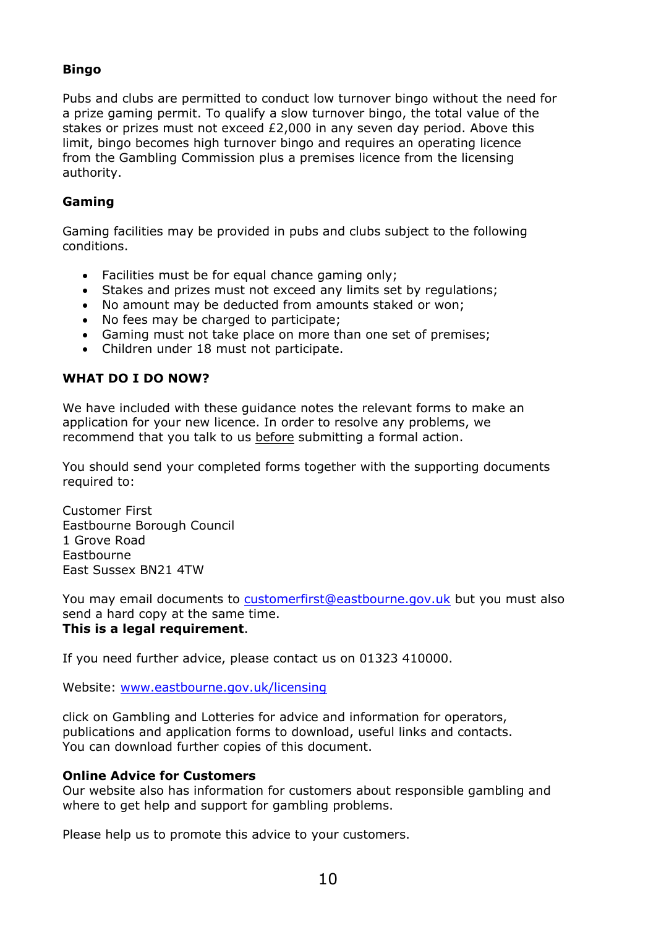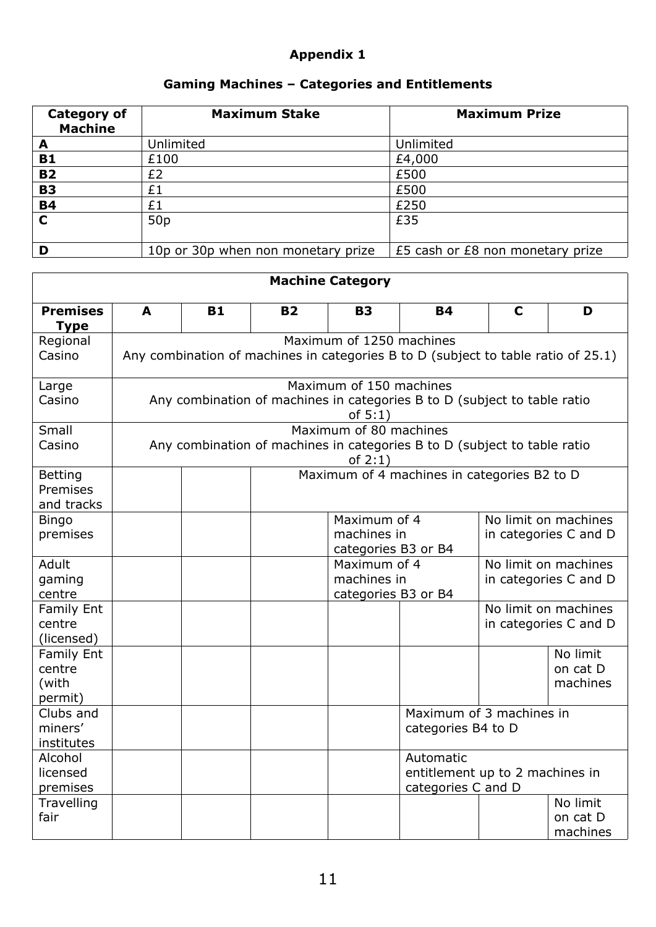## **Appendix 1**

# **Gaming Machines – Categories and Entitlements**

| <b>Category of</b><br><b>Machine</b> | <b>Maximum Stake</b>               | <b>Maximum Prize</b>             |
|--------------------------------------|------------------------------------|----------------------------------|
| A                                    | Unlimited                          | Unlimited                        |
| <b>B1</b>                            | £100                               | £4,000                           |
| <b>B2</b>                            | £2                                 | £500                             |
| <b>B3</b>                            | £1                                 | £500                             |
| <b>B4</b>                            | £1                                 | £250                             |
| $\mathbf C$                          | 50 <sub>p</sub>                    | £35                              |
|                                      | 10p or 30p when non monetary prize | £5 cash or £8 non monetary prize |

| <b>Machine Category</b>                  |                                                                                        |           |           |                                    |                                                |                      |                       |
|------------------------------------------|----------------------------------------------------------------------------------------|-----------|-----------|------------------------------------|------------------------------------------------|----------------------|-----------------------|
| <b>Premises</b><br><b>Type</b>           | A                                                                                      | <b>B1</b> | <b>B2</b> | <b>B3</b>                          | <b>B4</b>                                      | $\mathbf C$          | D                     |
| Regional                                 | Maximum of 1250 machines                                                               |           |           |                                    |                                                |                      |                       |
| Casino                                   | Any combination of machines in categories B to D (subject to table ratio of 25.1)      |           |           |                                    |                                                |                      |                       |
| Large                                    | Maximum of 150 machines                                                                |           |           |                                    |                                                |                      |                       |
| Casino                                   | Any combination of machines in categories B to D (subject to table ratio<br>of $5:1$ ) |           |           |                                    |                                                |                      |                       |
| Small                                    | Maximum of 80 machines                                                                 |           |           |                                    |                                                |                      |                       |
| Casino                                   | Any combination of machines in categories B to D (subject to table ratio<br>of $2:1$ ) |           |           |                                    |                                                |                      |                       |
| <b>Betting</b><br>Premises<br>and tracks |                                                                                        |           |           |                                    | Maximum of 4 machines in categories B2 to D    |                      |                       |
| <b>Bingo</b>                             |                                                                                        |           |           | Maximum of 4                       |                                                | No limit on machines |                       |
| premises                                 |                                                                                        |           |           | machines in<br>categories B3 or B4 | in categories C and D                          |                      |                       |
| Adult                                    |                                                                                        |           |           | Maximum of 4                       |                                                | No limit on machines |                       |
| gaming                                   |                                                                                        |           |           | machines in                        |                                                |                      | in categories C and D |
| centre<br>Family Ent                     |                                                                                        |           |           |                                    | categories B3 or B4<br>No limit on machines    |                      |                       |
| centre                                   |                                                                                        |           |           |                                    | in categories C and D                          |                      |                       |
| (licensed)                               |                                                                                        |           |           |                                    |                                                |                      |                       |
| Family Ent                               |                                                                                        |           |           |                                    |                                                |                      | No limit              |
| centre                                   |                                                                                        |           |           |                                    |                                                |                      | on cat D              |
| (with                                    |                                                                                        |           |           |                                    |                                                |                      | machines              |
| permit)                                  |                                                                                        |           |           |                                    |                                                |                      |                       |
| Clubs and                                |                                                                                        |           |           |                                    | Maximum of 3 machines in<br>categories B4 to D |                      |                       |
| miners'<br>institutes                    |                                                                                        |           |           |                                    |                                                |                      |                       |
| Alcohol                                  |                                                                                        |           |           |                                    | Automatic                                      |                      |                       |
| licensed                                 |                                                                                        |           |           |                                    | entitlement up to 2 machines in                |                      |                       |
| premises                                 |                                                                                        |           |           |                                    | categories C and D                             |                      |                       |
| Travelling                               |                                                                                        |           |           |                                    |                                                |                      | No limit              |
| fair                                     |                                                                                        |           |           |                                    |                                                |                      | on cat D              |
|                                          |                                                                                        |           |           |                                    |                                                |                      | machines              |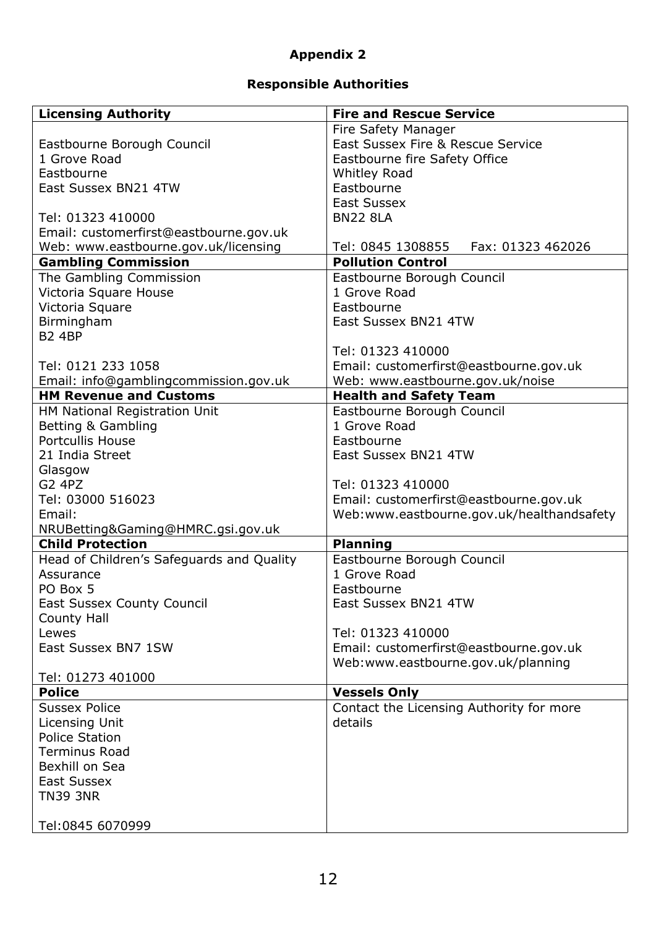## **Appendix 2**

# **Responsible Authorities**

| <b>Licensing Authority</b>                | <b>Fire and Rescue Service</b>            |
|-------------------------------------------|-------------------------------------------|
|                                           | Fire Safety Manager                       |
| Eastbourne Borough Council                | East Sussex Fire & Rescue Service         |
| 1 Grove Road                              | Eastbourne fire Safety Office             |
| Eastbourne                                | <b>Whitley Road</b>                       |
| East Sussex BN21 4TW                      | Eastbourne                                |
|                                           | <b>East Sussex</b>                        |
| Tel: 01323 410000                         | <b>BN22 8LA</b>                           |
| Email: customerfirst@eastbourne.gov.uk    |                                           |
| Web: www.eastbourne.gov.uk/licensing      | Tel: 0845 1308855<br>Fax: 01323 462026    |
| <b>Gambling Commission</b>                | <b>Pollution Control</b>                  |
| The Gambling Commission                   | Eastbourne Borough Council                |
| Victoria Square House                     | 1 Grove Road                              |
|                                           | Eastbourne                                |
| Victoria Square                           | East Sussex BN21 4TW                      |
| Birmingham                                |                                           |
| <b>B2 4BP</b>                             |                                           |
|                                           | Tel: 01323 410000                         |
| Tel: 0121 233 1058                        | Email: customerfirst@eastbourne.gov.uk    |
| Email: info@gamblingcommission.gov.uk     | Web: www.eastbourne.gov.uk/noise          |
| <b>HM Revenue and Customs</b>             | <b>Health and Safety Team</b>             |
| HM National Registration Unit             | Eastbourne Borough Council                |
| Betting & Gambling                        | 1 Grove Road                              |
| <b>Portcullis House</b>                   | Eastbourne                                |
| 21 India Street                           | East Sussex BN21 4TW                      |
| Glasgow                                   |                                           |
| <b>G2 4PZ</b>                             | Tel: 01323 410000                         |
| Tel: 03000 516023                         | Email: customerfirst@eastbourne.gov.uk    |
| Email:                                    | Web:www.eastbourne.gov.uk/healthandsafety |
| NRUBetting&Gaming@HMRC.gsi.gov.uk         |                                           |
| <b>Child Protection</b>                   | <b>Planning</b>                           |
| Head of Children's Safeguards and Quality | Eastbourne Borough Council                |
| Assurance                                 | 1 Grove Road                              |
| PO Box 5                                  | Eastbourne                                |
| <b>East Sussex County Council</b>         | East Sussex BN21 4TW                      |
| County Hall                               |                                           |
| Lewes                                     | Tel: 01323 410000                         |
| East Sussex BN7 1SW                       | Email: customerfirst@eastbourne.gov.uk    |
|                                           | Web:www.eastbourne.gov.uk/planning        |
| Tel: 01273 401000                         |                                           |
| <b>Police</b>                             | <b>Vessels Only</b>                       |
| <b>Sussex Police</b>                      | Contact the Licensing Authority for more  |
| Licensing Unit                            | details                                   |
| <b>Police Station</b>                     |                                           |
| <b>Terminus Road</b>                      |                                           |
| Bexhill on Sea                            |                                           |
| <b>East Sussex</b>                        |                                           |
| <b>TN39 3NR</b>                           |                                           |
|                                           |                                           |
| Tel:0845 6070999                          |                                           |